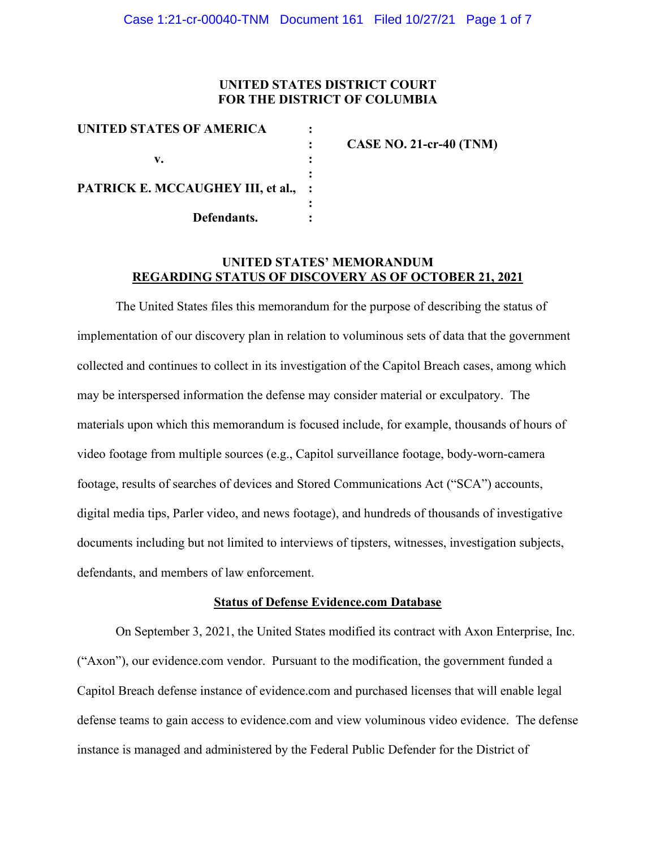### **UNITED STATES DISTRICT COURT FOR THE DISTRICT OF COLUMBIA**

| UNITED STATES OF AMERICA            |                           |
|-------------------------------------|---------------------------|
|                                     | CASE NO. 21-cr-40 $(TNM)$ |
| v.                                  |                           |
| PATRICK E. MCCAUGHEY III, et al., : |                           |
| Defendants.                         |                           |

### **UNITED STATES' MEMORANDUM REGARDING STATUS OF DISCOVERY AS OF OCTOBER 21, 2021**

The United States files this memorandum for the purpose of describing the status of implementation of our discovery plan in relation to voluminous sets of data that the government collected and continues to collect in its investigation of the Capitol Breach cases, among which may be interspersed information the defense may consider material or exculpatory. The materials upon which this memorandum is focused include, for example, thousands of hours of video footage from multiple sources (e.g., Capitol surveillance footage, body-worn-camera footage, results of searches of devices and Stored Communications Act ("SCA") accounts, digital media tips, Parler video, and news footage), and hundreds of thousands of investigative documents including but not limited to interviews of tipsters, witnesses, investigation subjects, defendants, and members of law enforcement.

#### **Status of Defense Evidence.com Database**

On September 3, 2021, the United States modified its contract with Axon Enterprise, Inc. ("Axon"), our evidence.com vendor. Pursuant to the modification, the government funded a Capitol Breach defense instance of evidence.com and purchased licenses that will enable legal defense teams to gain access to evidence.com and view voluminous video evidence. The defense instance is managed and administered by the Federal Public Defender for the District of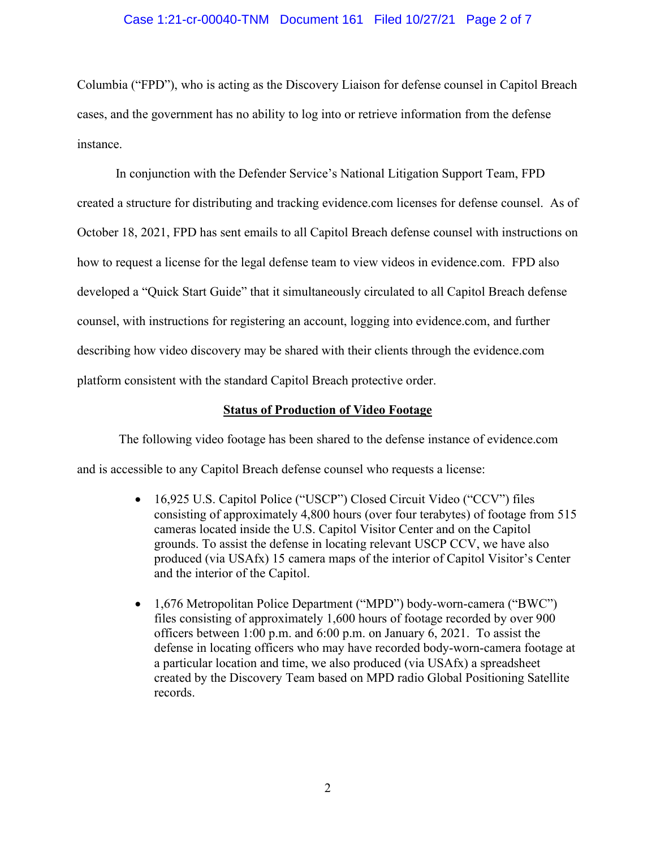### Case 1:21-cr-00040-TNM Document 161 Filed 10/27/21 Page 2 of 7

Columbia ("FPD"), who is acting as the Discovery Liaison for defense counsel in Capitol Breach cases, and the government has no ability to log into or retrieve information from the defense instance.

In conjunction with the Defender Service's National Litigation Support Team, FPD created a structure for distributing and tracking evidence.com licenses for defense counsel. As of October 18, 2021, FPD has sent emails to all Capitol Breach defense counsel with instructions on how to request a license for the legal defense team to view videos in evidence.com. FPD also developed a "Quick Start Guide" that it simultaneously circulated to all Capitol Breach defense counsel, with instructions for registering an account, logging into evidence.com, and further describing how video discovery may be shared with their clients through the evidence.com platform consistent with the standard Capitol Breach protective order.

#### **Status of Production of Video Footage**

The following video footage has been shared to the defense instance of evidence.com and is accessible to any Capitol Breach defense counsel who requests a license:

- 16,925 U.S. Capitol Police ("USCP") Closed Circuit Video ("CCV") files consisting of approximately 4,800 hours (over four terabytes) of footage from 515 cameras located inside the U.S. Capitol Visitor Center and on the Capitol grounds. To assist the defense in locating relevant USCP CCV, we have also produced (via USAfx) 15 camera maps of the interior of Capitol Visitor's Center and the interior of the Capitol.
- 1,676 Metropolitan Police Department ("MPD") body-worn-camera ("BWC") files consisting of approximately 1,600 hours of footage recorded by over 900 officers between 1:00 p.m. and 6:00 p.m. on January 6, 2021. To assist the defense in locating officers who may have recorded body-worn-camera footage at a particular location and time, we also produced (via USAfx) a spreadsheet created by the Discovery Team based on MPD radio Global Positioning Satellite records.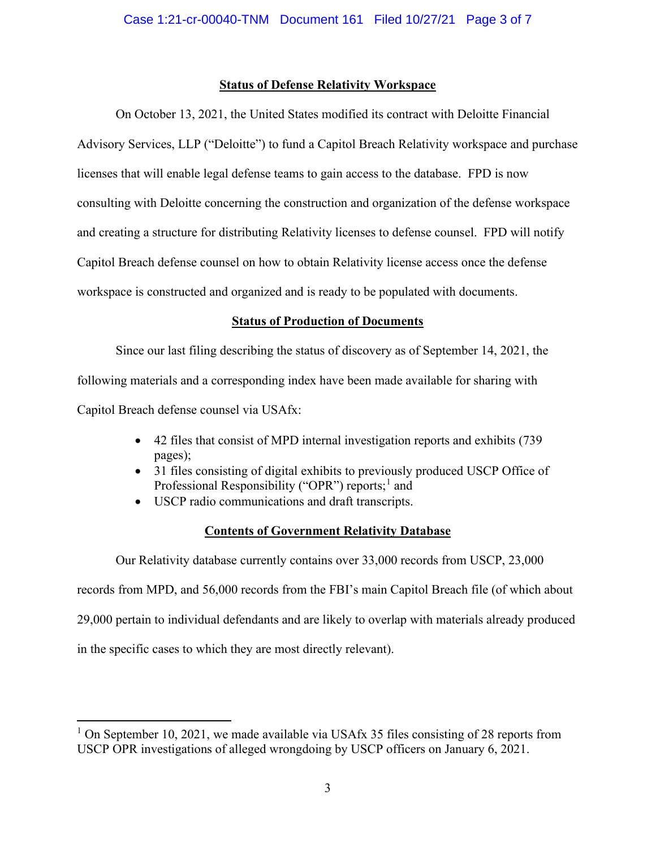## **Status of Defense Relativity Workspace**

On October 13, 2021, the United States modified its contract with Deloitte Financial Advisory Services, LLP ("Deloitte") to fund a Capitol Breach Relativity workspace and purchase licenses that will enable legal defense teams to gain access to the database. FPD is now consulting with Deloitte concerning the construction and organization of the defense workspace and creating a structure for distributing Relativity licenses to defense counsel. FPD will notify Capitol Breach defense counsel on how to obtain Relativity license access once the defense workspace is constructed and organized and is ready to be populated with documents.

## **Status of Production of Documents**

Since our last filing describing the status of discovery as of September 14, 2021, the following materials and a corresponding index have been made available for sharing with Capitol Breach defense counsel via USAfx:

- 42 files that consist of MPD internal investigation reports and exhibits (739 pages);
- 31 files consisting of digital exhibits to previously produced USCP Office of Professional Responsibility ("OPR") reports;<sup>1</sup> and
- USCP radio communications and draft transcripts.

# **Contents of Government Relativity Database**

Our Relativity database currently contains over 33,000 records from USCP, 23,000 records from MPD, and 56,000 records from the FBI's main Capitol Breach file (of which about 29,000 pertain to individual defendants and are likely to overlap with materials already produced in the specific cases to which they are most directly relevant).

<sup>&</sup>lt;sup>1</sup> On September 10, 2021, we made available via USAfx 35 files consisting of 28 reports from USCP OPR investigations of alleged wrongdoing by USCP officers on January 6, 2021.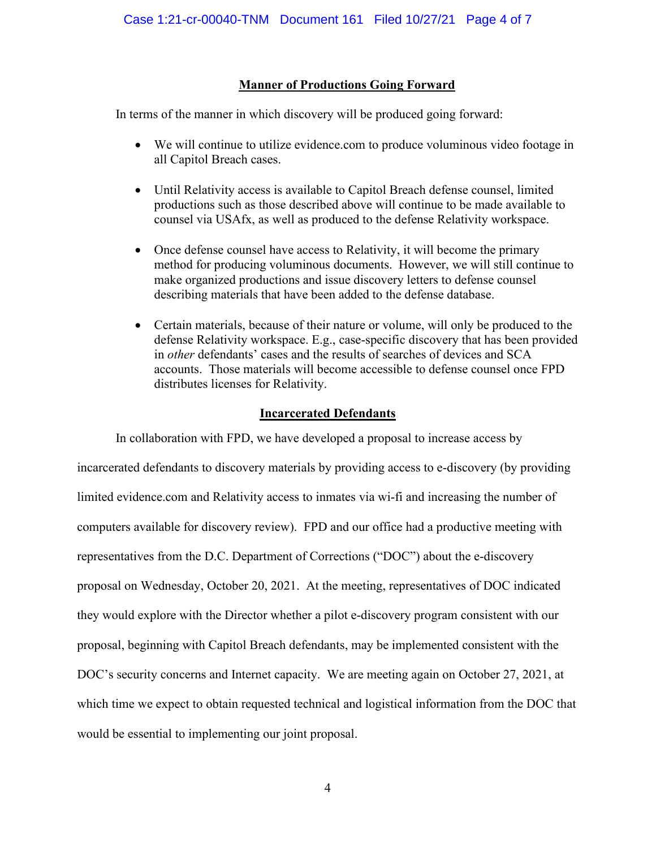## **Manner of Productions Going Forward**

In terms of the manner in which discovery will be produced going forward:

- We will continue to utilize evidence.com to produce voluminous video footage in all Capitol Breach cases.
- Until Relativity access is available to Capitol Breach defense counsel, limited productions such as those described above will continue to be made available to counsel via USAfx, as well as produced to the defense Relativity workspace.
- Once defense counsel have access to Relativity, it will become the primary method for producing voluminous documents. However, we will still continue to make organized productions and issue discovery letters to defense counsel describing materials that have been added to the defense database.
- Certain materials, because of their nature or volume, will only be produced to the defense Relativity workspace. E.g., case-specific discovery that has been provided in *other* defendants' cases and the results of searches of devices and SCA accounts. Those materials will become accessible to defense counsel once FPD distributes licenses for Relativity.

### **Incarcerated Defendants**

In collaboration with FPD, we have developed a proposal to increase access by incarcerated defendants to discovery materials by providing access to e-discovery (by providing limited evidence.com and Relativity access to inmates via wi-fi and increasing the number of computers available for discovery review). FPD and our office had a productive meeting with representatives from the D.C. Department of Corrections ("DOC") about the e-discovery proposal on Wednesday, October 20, 2021. At the meeting, representatives of DOC indicated they would explore with the Director whether a pilot e-discovery program consistent with our proposal, beginning with Capitol Breach defendants, may be implemented consistent with the DOC's security concerns and Internet capacity. We are meeting again on October 27, 2021, at which time we expect to obtain requested technical and logistical information from the DOC that would be essential to implementing our joint proposal.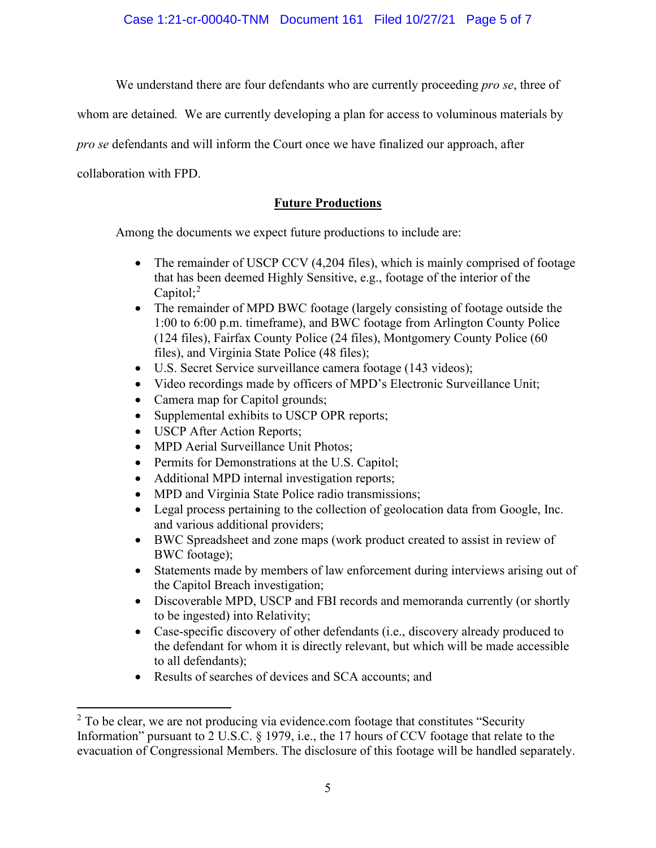Case 1:21-cr-00040-TNM Document 161 Filed 10/27/21 Page 5 of 7

We understand there are four defendants who are currently proceeding *pro se*, three of

whom are detained*.* We are currently developing a plan for access to voluminous materials by

*pro se* defendants and will inform the Court once we have finalized our approach, after

collaboration with FPD.

## **Future Productions**

Among the documents we expect future productions to include are:

- The remainder of USCP CCV (4,204 files), which is mainly comprised of footage that has been deemed Highly Sensitive, e.g., footage of the interior of the Capitol;<sup>2</sup>
- The remainder of MPD BWC footage (largely consisting of footage outside the 1:00 to 6:00 p.m. timeframe), and BWC footage from Arlington County Police (124 files), Fairfax County Police (24 files), Montgomery County Police (60 files), and Virginia State Police (48 files);
- U.S. Secret Service surveillance camera footage (143 videos);
- Video recordings made by officers of MPD's Electronic Surveillance Unit;
- Camera map for Capitol grounds;
- Supplemental exhibits to USCP OPR reports;
- USCP After Action Reports;
- MPD Aerial Surveillance Unit Photos;
- Permits for Demonstrations at the U.S. Capitol;
- Additional MPD internal investigation reports;
- MPD and Virginia State Police radio transmissions;
- Legal process pertaining to the collection of geolocation data from Google, Inc. and various additional providers;
- BWC Spreadsheet and zone maps (work product created to assist in review of BWC footage);
- Statements made by members of law enforcement during interviews arising out of the Capitol Breach investigation;
- Discoverable MPD, USCP and FBI records and memoranda currently (or shortly to be ingested) into Relativity;
- Case-specific discovery of other defendants (i.e., discovery already produced to the defendant for whom it is directly relevant, but which will be made accessible to all defendants);
- Results of searches of devices and SCA accounts; and

 $2$  To be clear, we are not producing via evidence.com footage that constitutes "Security Information" pursuant to 2 U.S.C. § 1979, i.e., the 17 hours of CCV footage that relate to the evacuation of Congressional Members. The disclosure of this footage will be handled separately.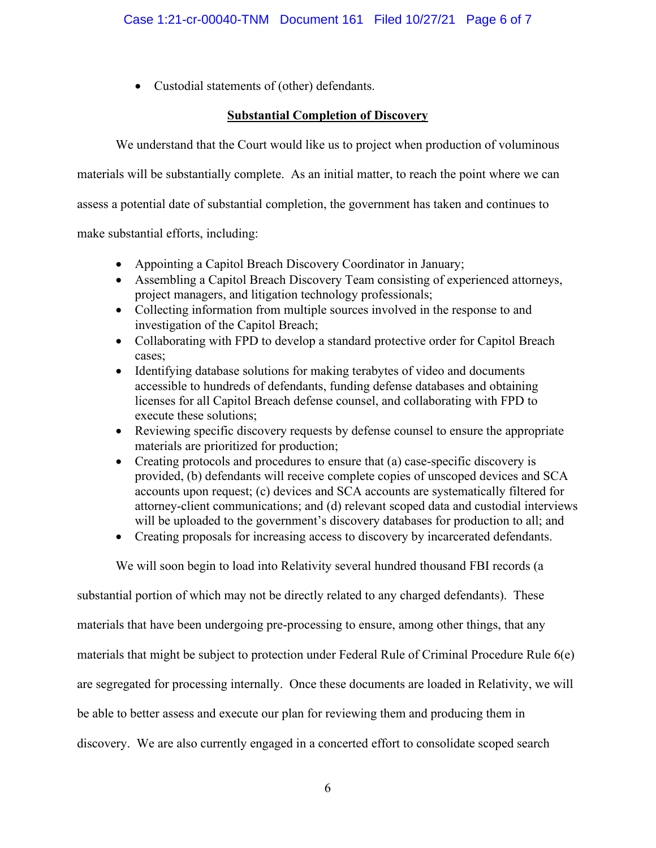• Custodial statements of (other) defendants.

## **Substantial Completion of Discovery**

We understand that the Court would like us to project when production of voluminous

materials will be substantially complete. As an initial matter, to reach the point where we can

assess a potential date of substantial completion, the government has taken and continues to

make substantial efforts, including:

- Appointing a Capitol Breach Discovery Coordinator in January;
- Assembling a Capitol Breach Discovery Team consisting of experienced attorneys, project managers, and litigation technology professionals;
- Collecting information from multiple sources involved in the response to and investigation of the Capitol Breach;
- Collaborating with FPD to develop a standard protective order for Capitol Breach cases;
- Identifying database solutions for making terabytes of video and documents accessible to hundreds of defendants, funding defense databases and obtaining licenses for all Capitol Breach defense counsel, and collaborating with FPD to execute these solutions;
- Reviewing specific discovery requests by defense counsel to ensure the appropriate materials are prioritized for production;
- Creating protocols and procedures to ensure that (a) case-specific discovery is provided, (b) defendants will receive complete copies of unscoped devices and SCA accounts upon request; (c) devices and SCA accounts are systematically filtered for attorney-client communications; and (d) relevant scoped data and custodial interviews will be uploaded to the government's discovery databases for production to all; and
- Creating proposals for increasing access to discovery by incarcerated defendants.

We will soon begin to load into Relativity several hundred thousand FBI records (a

substantial portion of which may not be directly related to any charged defendants). These materials that have been undergoing pre-processing to ensure, among other things, that any materials that might be subject to protection under Federal Rule of Criminal Procedure Rule 6(e) are segregated for processing internally. Once these documents are loaded in Relativity, we will be able to better assess and execute our plan for reviewing them and producing them in discovery. We are also currently engaged in a concerted effort to consolidate scoped search